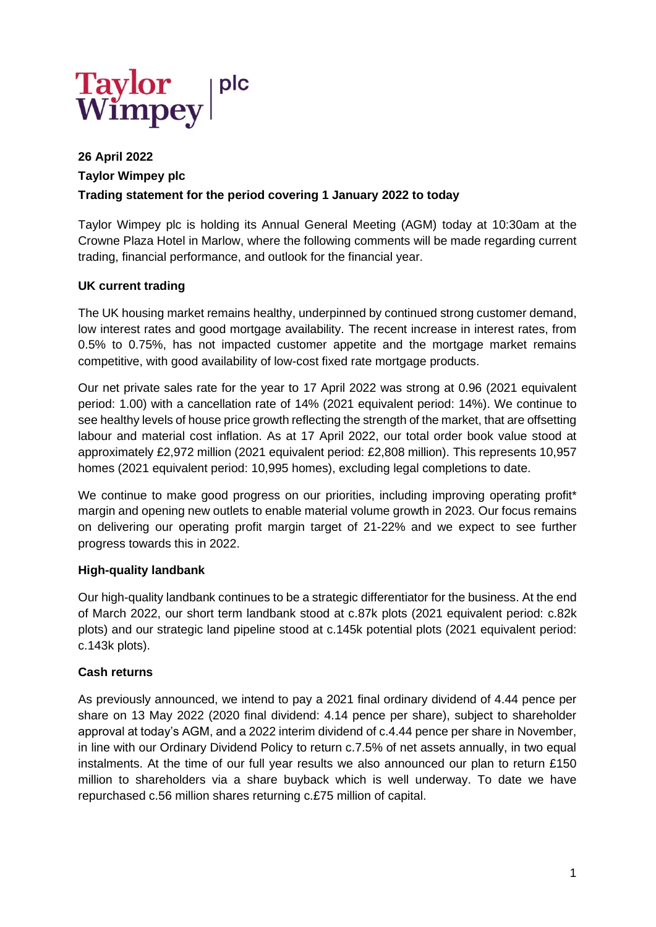

# **26 April 2022 Taylor Wimpey plc Trading statement for the period covering 1 January 2022 to today**

Taylor Wimpey plc is holding its Annual General Meeting (AGM) today at 10:30am at the Crowne Plaza Hotel in Marlow, where the following comments will be made regarding current trading, financial performance, and outlook for the financial year.

### **UK current trading**

The UK housing market remains healthy, underpinned by continued strong customer demand, low interest rates and good mortgage availability. The recent increase in interest rates, from 0.5% to 0.75%, has not impacted customer appetite and the mortgage market remains competitive, with good availability of low-cost fixed rate mortgage products.

Our net private sales rate for the year to 17 April 2022 was strong at 0.96 (2021 equivalent period: 1.00) with a cancellation rate of 14% (2021 equivalent period: 14%). We continue to see healthy levels of house price growth reflecting the strength of the market, that are offsetting labour and material cost inflation. As at 17 April 2022, our total order book value stood at approximately £2,972 million (2021 equivalent period: £2,808 million). This represents 10,957 homes (2021 equivalent period: 10,995 homes), excluding legal completions to date.

We continue to make good progress on our priorities, including improving operating profit\* margin and opening new outlets to enable material volume growth in 2023. Our focus remains on delivering our operating profit margin target of 21-22% and we expect to see further progress towards this in 2022.

### **High-quality landbank**

Our high-quality landbank continues to be a strategic differentiator for the business. At the end of March 2022, our short term landbank stood at c.87k plots (2021 equivalent period: c.82k plots) and our strategic land pipeline stood at c.145k potential plots (2021 equivalent period: c.143k plots).

### **Cash returns**

As previously announced, we intend to pay a 2021 final ordinary dividend of 4.44 pence per share on 13 May 2022 (2020 final dividend: 4.14 pence per share), subject to shareholder approval at today's AGM, and a 2022 interim dividend of c.4.44 pence per share in November, in line with our Ordinary Dividend Policy to return c.7.5% of net assets annually, in two equal instalments. At the time of our full year results we also announced our plan to return £150 million to shareholders via a share buyback which is well underway. To date we have repurchased c.56 million shares returning c.£75 million of capital.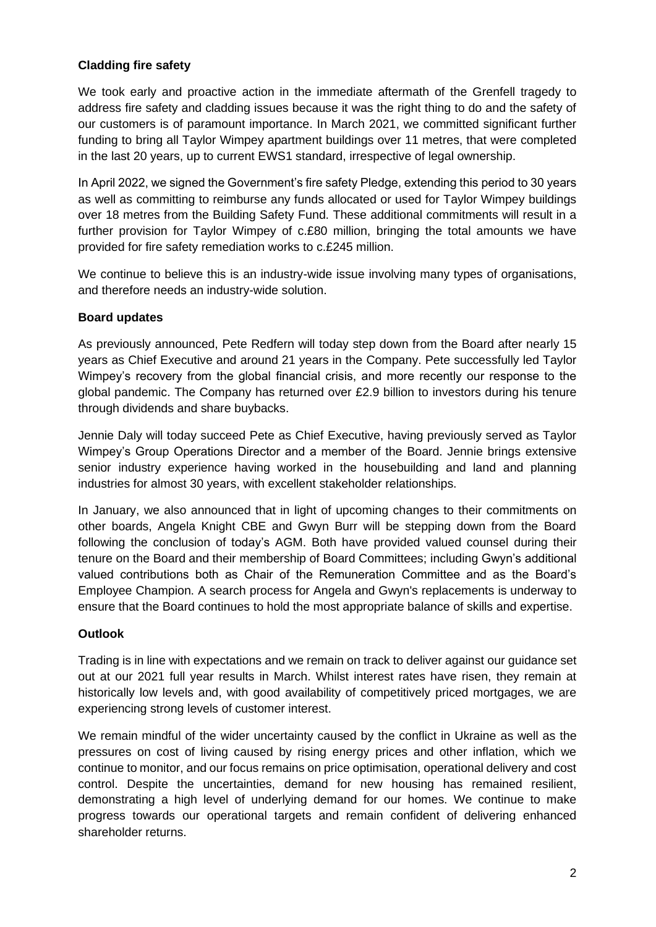## **Cladding fire safety**

We took early and proactive action in the immediate aftermath of the Grenfell tragedy to address fire safety and cladding issues because it was the right thing to do and the safety of our customers is of paramount importance. In March 2021, we committed significant further funding to bring all Taylor Wimpey apartment buildings over 11 metres, that were completed in the last 20 years, up to current EWS1 standard, irrespective of legal ownership.

In April 2022, we signed the Government's fire safety Pledge, extending this period to 30 years as well as committing to reimburse any funds allocated or used for Taylor Wimpey buildings over 18 metres from the Building Safety Fund. These additional commitments will result in a further provision for Taylor Wimpey of c.£80 million, bringing the total amounts we have provided for fire safety remediation works to c.£245 million.

We continue to believe this is an industry-wide issue involving many types of organisations, and therefore needs an industry-wide solution.

### **Board updates**

As previously announced, Pete Redfern will today step down from the Board after nearly 15 years as Chief Executive and around 21 years in the Company. Pete successfully led Taylor Wimpey's recovery from the global financial crisis, and more recently our response to the global pandemic. The Company has returned over £2.9 billion to investors during his tenure through dividends and share buybacks.

Jennie Daly will today succeed Pete as Chief Executive, having previously served as Taylor Wimpey's Group Operations Director and a member of the Board. Jennie brings extensive senior industry experience having worked in the housebuilding and land and planning industries for almost 30 years, with excellent stakeholder relationships.

In January, we also announced that in light of upcoming changes to their commitments on other boards, Angela Knight CBE and Gwyn Burr will be stepping down from the Board following the conclusion of today's AGM. Both have provided valued counsel during their tenure on the Board and their membership of Board Committees; including Gwyn's additional valued contributions both as Chair of the Remuneration Committee and as the Board's Employee Champion. A search process for Angela and Gwyn's replacements is underway to ensure that the Board continues to hold the most appropriate balance of skills and expertise.

### **Outlook**

Trading is in line with expectations and we remain on track to deliver against our guidance set out at our 2021 full year results in March. Whilst interest rates have risen, they remain at historically low levels and, with good availability of competitively priced mortgages, we are experiencing strong levels of customer interest.

We remain mindful of the wider uncertainty caused by the conflict in Ukraine as well as the pressures on cost of living caused by rising energy prices and other inflation, which we continue to monitor, and our focus remains on price optimisation, operational delivery and cost control. Despite the uncertainties, demand for new housing has remained resilient, demonstrating a high level of underlying demand for our homes. We continue to make progress towards our operational targets and remain confident of delivering enhanced shareholder returns.